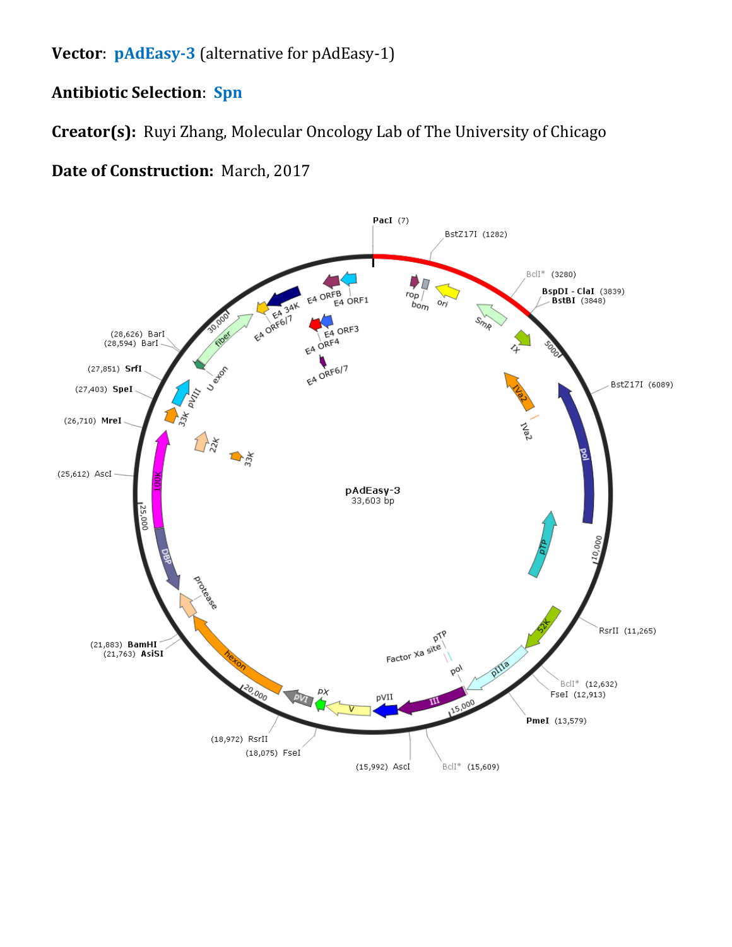**Vector**: **pAdEasy-3** (alternative for pAdEasy-1)

## **Antibiotic Selection**: **Spn**

**Creator(s):** Ruyi Zhang, Molecular Oncology Lab of The University of Chicago

## **Date of Construction:** March, 2017

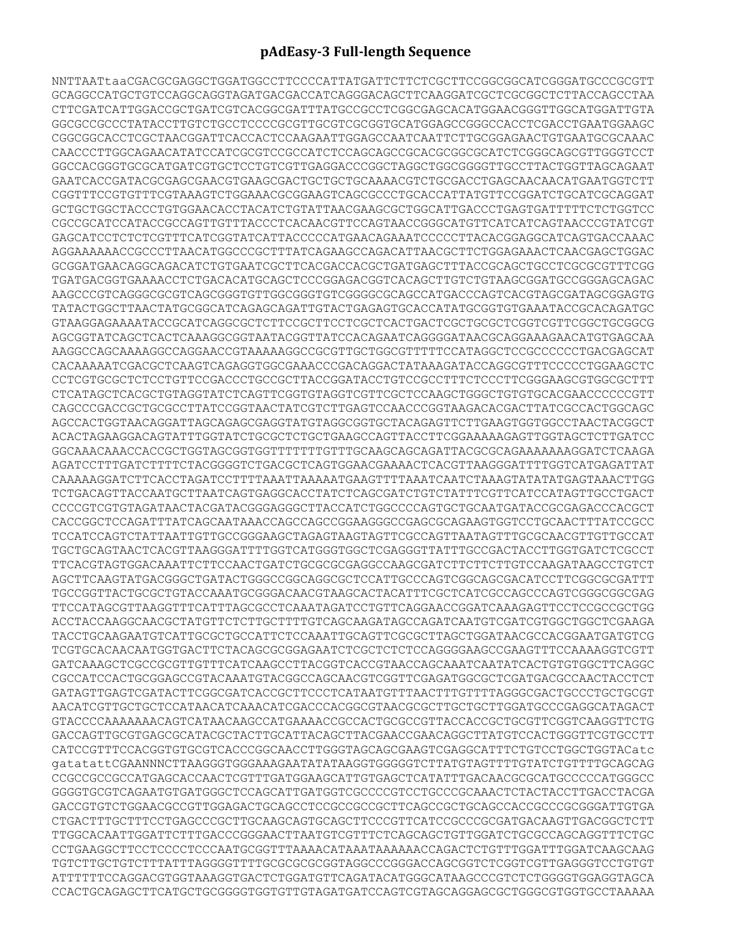## **pAdEasy-3 Full-length Sequence**

NNTTAATtaaCGACGCGAGGCTGGATGGCCTTCCCCATTATGATTCTTCTCGCTTCCGGCGGCATCGGGATGCCCGCGTT GCAGGCCATGCTGTCCAGGCAGGTAGATGACGACCATCAGGGACAGCTTCAAGGATCGCTCGCGGCTCTTACCAGCCTAA CTTCGATCATTGGACCGCTGATCGTCACGGCGATTTATGCCGCCTCGGCGAGCACATGGAACGGGTTGGCATGGATTGTA GGCGCCGCCCTATACCTTGTCTGCCTCCCCGCGTTGCGTCGCGGTGCATGGAGCCGGGCCACCTCGACCTGAATGGAAGC CGGCGGCACCTCGCTAACGGATTCACCACTCCAAGAATTGGAGCCAATCAATTCTTGCGGAGAACTGTGAATGCGCAAAC CAACCCTTGGCAGAACATATCCATCGCGTCCGCCATCTCCAGCAGCCGCACGCGGCGCATCTCGGGCAGCGTTGGGTCCT GGCCACGGGTGCGCATGATCGTGCTCCTGTCGTTGAGGACCCGGCTAGGCTGGCGGGGTTGCCTTACTGGTTAGCAGAAT GAATCACCGATACGCGAGCGAACGTGAAGCGACTGCTGCTGCAAAACGTCTGCGACCTGAGCAACAACATGAATGGTCTT CGGTTTCCGTGTTTCGTAAAGTCTGGAAACGCGGAAGTCAGCGCCCTGCACCATTATGTTCCGGATCTGCATCGCAGGAT GCTGCTGGCTACCCTGTGGAACACCTACATCTGTATTAACGAAGCGCTGGCATTGACCCTGAGTGATTTTTCTCTGGTCC CGCCGCATCCATACCGCCAGTTGTTTACCCTCACAACGTTCCAGTAACCGGGCATGTTCATCATCAGTAACCCGTATCGT GAGCATCCTCTCTCGTTTCATCGGTATCATTACCCCCATGAACAGAAATCCCCCTTACACGGAGGCATCAGTGACCAAAC AGGAAAAAACCGCCCTTAACATGGCCCGCTTTATCAGAAGCCAGACATTAACGCTTCTGGAGAAACTCAACGAGCTGGAC GCGGATGAACAGGCAGACATCTGTGAATCGCTTCACGACCACGCTGATGAGCTTTACCGCAGCTGCCTCGCGCGTTTCGG TGATGACGGTGAAAACCTCTGACACATGCAGCTCCCGGAGACGGTCACAGCTTGTCTGTAAGCGGATGCCGGGAGCAGAC AAGCCCGTCAGGGCGCGTCAGCGGGTGTTGGCGGGTGTCGGGGCGCAGCCATGACCCAGTCACGTAGCGATAGCGGAGTG TATACTGGCTTAACTATGCGGCATCAGAGCAGATTGTACTGAGAGTGCACCATATGCGGTGTGAAATACCGCACAGATGC GTAAGGAGAAAATACCGCATCAGGCGCTCTTCCGCTTCCTCGCTCACTGACTCGCTGCGCTCGGTCGTTCGGCTGCGGCG AGCGGTATCAGCTCACTCAAAGGCGGTAATACGGTTATCCACAGAATCAGGGGATAACGCAGGAAAGAACATGTGAGCAA AAGGCCAGCAAAAGGCCAGGAACCGTAAAAAGGCCGCGTTGCTGGCGTTTTTCCATAGGCTCCGCCCCCCTGACGAGCAT CACAAAAATCGACGCTCAAGTCAGAGGTGGCGAAACCCGACAGGACTATAAAGATACCAGGCGTTTCCCCCTGGAAGCTC CCTCGTGCGCTCTCCTGTTCCGACCCTGCCGCTTACCGGATACCTGTCCGCCTTTCTCCCTTCGGGAAGCGTGGCGCTTT CTCATAGCTCACGCTGTAGGTATCTCAGTTCGGTGTAGGTCGTTCGCTCCAAGCTGGGCTGTGTGCACGAACCCCCCGTT CAGCCCGACCGCTGCGCCTTATCCGGTAACTATCGTCTTGAGTCCAACCCGGTAAGACACGACTTATCGCCACTGGCAGC AGCCACTGGTAACAGGATTAGCAGAGCGAGGTATGTAGGCGGTGCTACAGAGTTCTTGAAGTGGTGGCCTAACTACGGCT ACACTAGAAGGACAGTATTTGGTATCTGCGCTCTGCTGAAGCCAGTTACCTTCGGAAAAAGAGTTGGTAGCTCTTGATCC GGCAAACAAACCACCGCTGGTAGCGGTGGTTTTTTTGTTTGCAAGCAGCAGATTACGCGCAGAAAAAAAGGATCTCAAGA AGATCCTTTGATCTTTTCTACGGGGTCTGACGCTCAGTGGAACGAAAACTCACGTTAAGGGATTTTGGTCATGAGATTAT CAAAAAGGATCTTCACCTAGATCCTTTTAAATTAAAAATGAAGTTTTAAATCAATCTAAAGTATATATGAGTAAACTTGG TCTGACAGTTACCAATGCTTAATCAGTGAGGCACCTATCTCAGCGATCTGTCTATTTCGTTCATCCATAGTTGCCTGACT CCCCGTCGTGTAGATAACTACGATACGGGAGGGCTTACCATCTGGCCCCAGTGCTGCAATGATACCGCGAGACCCACGCT CACCGGCTCCAGATTTATCAGCAATAAACCAGCCAGCCGGAAGGGCCGAGCGCAGAAGTGGTCCTGCAACTTTATCCGCC TCCATCCAGTCTATTAATTGTTGCCGGGAAGCTAGAGTAAGTAGTTCGCCAGTTAATAGTTTGCGCAACGTTGTTGCCAT TGCTGCAGTAACTCACGTTAAGGGATTTTGGTCATGGGTGGCTCGAGGGTTATTTGCCGACTACCTTGGTGATCTCGCCT TTCACGTAGTGGACAAATTCTTCCAACTGATCTGCGCGCGAGGCCAAGCGATCTTCTTCTTGTCCAAGATAAGCCTGTCT AGCTTCAAGTATGACGGGCTGATACTGGGCCGGCAGGCGCTCCATTGCCCAGTCGGCAGCGACATCCTTCGGCGCGATTT TGCCGGTTACTGCGCTGTACCAAATGCGGGACAACGTAAGCACTACATTTCGCTCATCGCCAGCCCAGTCGGGCGGCGAG TTCCATAGCGTTAAGGTTTCATTTAGCGCCTCAAATAGATCCTGTTCAGGAACCGGATCAAAGAGTTCCTCCGCCGCTGG ACCTACCAAGGCAACGCTATGTTCTCTTGCTTTTGTCAGCAAGATAGCCAGATCAATGTCGATCGTGGCTGGCTCGAAGA TACCTGCAAGAATGTCATTGCGCTGCCATTCTCCAAATTGCAGTTCGCGCTTAGCTGGATAACGCCACGGAATGATGTCG TCGTGCACAACAATGGTGACTTCTACAGCGCGGAGAATCTCGCTCTCTCCAGGGGAAGCCGAAGTTTCCAAAAGGTCGTT GATCAAAGCTCGCCGCGTTGTTTCATCAAGCCTTACGGTCACCGTAACCAGCAAATCAATATCACTGTGTGGCTTCAGGC CGCCATCCACTGCGGAGCCGTACAAATGTACGGCCAGCAACGTCGGTTCGAGATGGCGCTCGATGACGCCAACTACCTCT GATAGTTGAGTCGATACTTCGGCGATCACCGCTTCCCTCATAATGTTTAACTTTGTTTTAGGGCGACTGCCCTGCTGCGT AACATCGTTGCTGCTCCATAACATCAAACATCGACCCACGGCGTAACGCGCTTGCTGCTTGGATGCCCGAGGCATAGACT GTACCCCAAAAAAACAGTCATAACAAGCCATGAAAACCGCCACTGCGCCGTTACCACCGCTGCGTTCGGTCAAGGTTCTG GACCAGTTGCGTGAGCGCATACGCTACTTGCATTACAGCTTACGAACCGAACAGGCTTATGTCCACTGGGTTCGTGCCTT CATCCGTTTCCACGGTGTGCGTCACCCGGCAACCTTGGGTAGCAGCGAAGTCGAGGCATTTCTGTCCTGGCTGGTACatc gatatattCGAANNNCTTAAGGGTGGGAAAGAATATATAAGGTGGGGGTCTTATGTAGTTTTGTATCTGTTTTGCAGCAG CCGCCGCCGCCATGAGCACCAACTCGTTTGATGGAAGCATTGTGAGCTCATATTTGACAACGCGCATGCCCCCATGGGCC GGGGTGCGTCAGAATGTGATGGGCTCCAGCATTGATGGTCGCCCCGTCCTGCCCGCAAACTCTACTACCTTGACCTACGA GACCGTGTCTGGAACGCCGTTGGAGACTGCAGCCTCCGCCGCCGCTTCAGCCGCTGCAGCCACCGCCCGCGGGATTGTGA CTGACTTTGCTTTCCTGAGCCCGCTTGCAAGCAGTGCAGCTTCCCGTTCATCCGCCCGCGATGACAAGTTGACGGCTCTT TTGGCACAATTGGATTCTTTGACCCGGGAACTTAATGTCGTTTCTCAGCAGCTGTTGGATCTGCGCCAGCAGGTTTCTGC CCTGAAGGCTTCCTCCCCTCCCAATGCGGTTTAAAACATAAATAAAAAACCAGACTCTGTTTGGATTTGGATCAAGCAAG TGTCTTGCTGTCTTTATTTAGGGGTTTTGCGCGCGCGGTAGGCCCGGGACCAGCGGTCTCGGTCGTTGAGGGTCCTGTGT ATTTTTTCCAGGACGTGGTAAAGGTGACTCTGGATGTTCAGATACATGGGCATAAGCCCGTCTCTGGGGTGGAGGTAGCA CCACTGCAGAGCTTCATGCTGCGGGGTGGTGTTGTAGATGATCCAGTCGTAGCAGGAGCGCTGGGCGTGGTGCCTAAAAA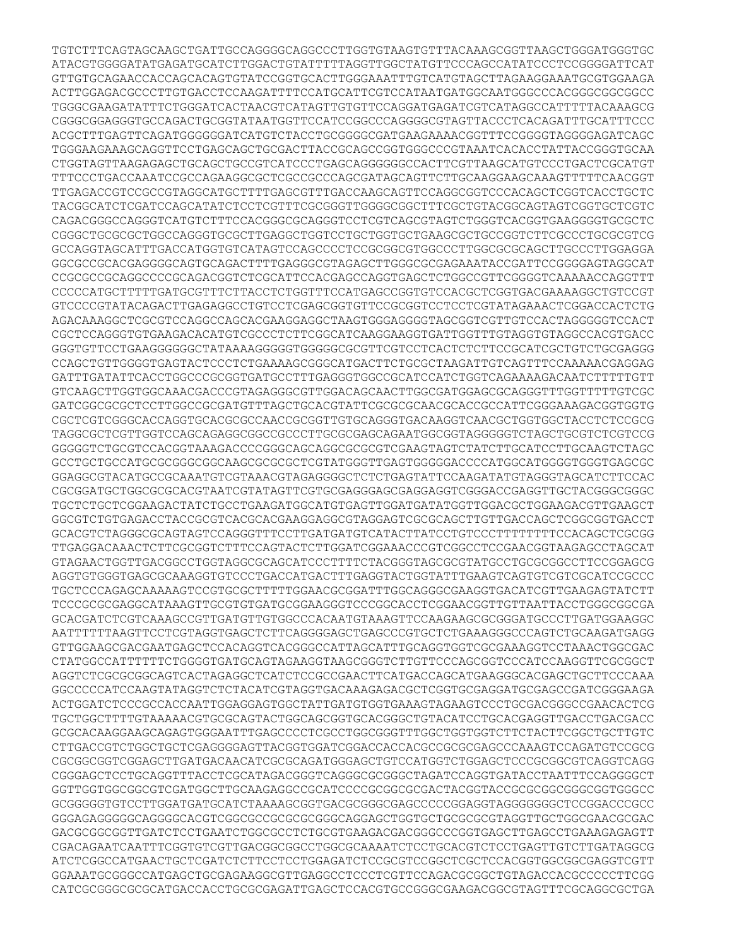TGTCTTTCAGTAGCAAGCTGATTGCCAGGGGCAGGCCCTTGGTGTAAGTGTTTACAAAGCGGTTAAGCTGGGATGGGTGC ATACGTGGGGATATGAGATGCATCTTGGACTGTATTTTTAGGTTGGCTATGTTCCCAGCCATATCCCTCCGGGGATTCAT GTTGTGCAGAACCACCAGCACAGTGTATCCGGTGCACTTGGGAAATTTGTCATGTAGCTTAGAAGGAAATGCGTGGAAGA ACTTGGAGACGCCCTTGTGACCTCCAAGATTTTCCATGCATTCGTCCATAATGATGGCAATGGGCCCACGGGCGGCGGCC TGGGCGAAGATATTTCTGGGATCACTAACGTCATAGTTGTGTTCCAGGATGAGATCGTCATAGGCCATTTTTACAAAGCG CGGGCGGAGGGTGCCAGACTGCGGTATAATGGTTCCATCCGGCCCAGGGGCGTAGTTACCCTCACAGATTTGCATTTCCC ACGCTTTGAGTTCAGATGGGGGGATCATGTCTACCTGCGGGGCGATGAAGAAAACGGTTTCCGGGGTAGGGGAGATCAGC TGGGAAGAAAGCAGGTTCCTGAGCAGCTGCGACTTACCGCAGCCGGTGGGCCCGTAAATCACACCTATTACCGGGTGCAA CTGGTAGTTAAGAGAGCTGCAGCTGCCGTCATCCCTGAGCAGGGGGGCCACTTCGTTAAGCATGTCCCTGACTCGCATGT TTTCCCTGACCAAATCCGCCAGAAGGCGCTCGCCGCCCAGCGATAGCAGTTCTTGCAAGGAAGCAAAGTTTTTCAACGGT TTGAGACCGTCCGCCGTAGGCATGCTTTTGAGCGTTTGACCAAGCAGTTCCAGGCGGTCCCACAGCTCGGTCACCTGCTC TACGGCATCTCGATCCAGCATATCTCCTCGTTTCGCGGGTTGGGGCGGCTTTCGCTGTACGGCAGTAGTCGGTGCTCGTC CAGACGGGCCAGGGTCATGTCTTTCCACGGGCGCAGGGTCCTCGTCAGCGTAGTCTGGGTCACGGTGAAGGGGTGCGCTC CGGGCTGCGCGCTGGCCAGGGTGCGCTTGAGGCTGGTCCTGCTGGTGCTGAAGCGCTGCCGGTCTTCGCCCTGCGCGTCG GCCAGGTAGCATTTGACCATGGTGTCATAGTCCAGCCCCTCCGCGGCGTGGCCCTTGGCGCGCAGCTTGCCCTTGGAGGA GGCGCCGCACGAGGGGCAGTGCAGACTTTTGAGGGCGTAGAGCTTGGGCGCGAGAAATACCGATTCCGGGGAGTAGGCAT CCGCGCCGCAGGCCCCGCAGACGGTCTCGCATTCCACGAGCCAGGTGAGCTCTGGCCGTTCGGGGTCAAAAACCAGGTTT CCCCCATGCTTTTTGATGCGTTTCTTACCTCTGGTTTCCATGAGCCGGTGTCCACGCTCGGTGACGAAAAGGCTGTCCGT GTCCCCGTATACAGACTTGAGAGGCCTGTCCTCGAGCGGTGTTCCGCGGTCCTCCTCGTATAGAAACTCGGACCACTCTG AGACAAAGGCTCGCGTCCAGGCCAGCACGAAGGAGGCTAAGTGGGAGGGGTAGCGGTCGTTGTCCACTAGGGGGTCCACT CGCTCCAGGGTGTGAAGACACATGTCGCCCTCTTCGGCATCAAGGAAGGTGATTGGTTTGTAGGTGTAGGCCACGTGACC GGGTGTTCCTGAAGGGGGGCTATAAAAGGGGGTGGGGGCGCGTTCGTCCTCACTCTCTTCCGCATCGCTGTCTGCGAGGG CCAGCTGTTGGGGTGAGTACTCCCTCTGAAAAGCGGGCATGACTTCTGCGCTAAGATTGTCAGTTTCCAAAAACGAGGAG GATTTGATATTCACCTGGCCCGCGGTGATGCCTTTGAGGGTGGCCGCATCCATCTGGTCAGAAAAGACAATCTTTTTGTT GTCAAGCTTGGTGGCAAACGACCCGTAGAGGGCGTTGGACAGCAACTTGGCGATGGAGCGCAGGGTTTGGTTTTTGTCGC GATCGGCGCGCTCCTTGGCCGCGATGTTTAGCTGCACGTATTCGCGCGCAACGCACCGCCATTCGGGAAAGACGGTGGTG CGCTCGTCGGGCACCAGGTGCACGCGCCAACCGCGGTTGTGCAGGGTGACAAGGTCAACGCTGGTGGCTACCTCTCCGCG TAGGCGCTCGTTGGTCCAGCAGAGGCGGCCGCCCTTGCGCGAGCAGAATGGCGGTAGGGGGTCTAGCTGCGTCTCGTCCG GGGGGTCTGCGTCCACGGTAAAGACCCCGGGCAGCAGGCGCGCGTCGAAGTAGTCTATCTTGCATCCTTGCAAGTCTAGC GCCTGCTGCCATGCGCGGGCGGCAAGCGCGCGCTCGTATGGGTTGAGTGGGGGACCCCATGGCATGGGGTGGGTGAGCGC GGAGGCGTACATGCCGCAAATGTCGTAAACGTAGAGGGGCTCTCTGAGTATTCCAAGATATGTAGGGTAGCATCTTCCAC CGCGGATGCTGGCGCGCACGTAATCGTATAGTTCGTGCGAGGGAGCGAGGAGGTCGGGACCGAGGTTGCTACGGGCGGGC TGCTCTGCTCGGAAGACTATCTGCCTGAAGATGGCATGTGAGTTGGATGATATGGTTGGACGCTGGAAGACGTTGAAGCT GGCGTCTGTGAGACCTACCGCGTCACGCACGAAGGAGGCGTAGGAGTCGCGCAGCTTGTTGACCAGCTCGGCGGTGACCT GCACGTCTAGGGCGCAGTAGTCCAGGGTTTCCTTGATGATGTCATACTTATCCTGTCCCTTTTTTTTCCACAGCTCGCGG TTGAGGACAAACTCTTCGCGGTCTTTCCAGTACTCTTGGATCGGAAACCCGTCGGCCTCCGAACGGTAAGAGCCTAGCAT GTAGAACTGGTTGACGGCCTGGTAGGCGCAGCATCCCTTTTCTACGGGTAGCGCGTATGCCTGCGCGGCCTTCCGGAGCG AGGTGTGGGTGAGCGCAAAGGTGTCCCTGACCATGACTTTGAGGTACTGGTATTTGAAGTCAGTGTCGTCGCATCCGCCC TGCTCCCAGAGCAAAAAGTCCGTGCGCTTTTTGGAACGCGGATTTGGCAGGGCGAAGGTGACATCGTTGAAGAGTATCTT TCCCGCGCGAGGCATAAAGTTGCGTGTGATGCGGAAGGGTCCCGGCACCTCGGAACGGTTGTTAATTACCTGGGCGGCGA GCACGATCTCGTCAAAGCCGTTGATGTTGTGGCCCACAATGTAAAGTTCCAAGAAGCGCGGGATGCCCTTGATGGAAGGC AATTTTTTAAGTTCCTCGTAGGTGAGCTCTTCAGGGGAGCTGAGCCCGTGCTCTGAAAGGGCCCAGTCTGCAAGATGAGG GTTGGAAGCGACGAATGAGCTCCACAGGTCACGGGCCATTAGCATTTGCAGGTGGTCGCGAAAGGTCCTAAACTGGCGAC CTATGGCCATTTTTTCTGGGGTGATGCAGTAGAAGGTAAGCGGGTCTTGTTCCCAGCGGTCCCATCCAAGGTTCGCGGCT AGGTCTCGCGCGGCAGTCACTAGAGGCTCATCTCCGCCGAACTTCATGACCAGCATGAAGGGCACGAGCTGCTTCCCAAA GGCCCCCATCCAAGTATAGGTCTCTACATCGTAGGTGACAAAGAGACGCTCGGTGCGAGGATGCGAGCCGATCGGGAAGA ACTGGATCTCCCGCCACCAATTGGAGGAGTGGCTATTGATGTGGTGAAAGTAGAAGTCCCTGCGACGGGCCGAACACTCG TGCTGGCTTTTGTAAAAACGTGCGCAGTACTGGCAGCGGTGCACGGGCTGTACATCCTGCACGAGGTTGACCTGACGACC GCGCACAAGGAAGCAGAGTGGGAATTTGAGCCCCTCGCCTGGCGGGTTTGGCTGGTGGTCTTCTACTTCGGCTGCTTGTC CTTGACCGTCTGGCTGCTCGAGGGGAGTTACGGTGGATCGGACCACCACGCCGCGCGAGCCCAAAGTCCAGATGTCCGCG CGCGGCGGTCGGAGCTTGATGACAACATCGCGCAGATGGGAGCTGTCCATGGTCTGGAGCTCCCGCGGCGTCAGGTCAGG CGGGAGCTCCTGCAGGTTTACCTCGCATAGACGGGTCAGGGCGCGGGCTAGATCCAGGTGATACCTAATTTCCAGGGGCT GGTTGGTGGCGGCGTCGATGGCTTGCAAGAGGCCGCATCCCCGCGGCGCGACTACGGTACCGCGCGGCGGGCGGTGGGCC GCGGGGGTGTCCTTGGATGATGCATCTAAAAGCGGTGACGCGGGCGAGCCCCCGGAGGTAGGGGGGGCTCCGGACCCGCC GGGAGAGGGGGCAGGGGCACGTCGGCGCCGCGCGCGGGCAGGAGCTGGTGCTGCGCGCGTAGGTTGCTGGCGAACGCGAC GACGCGGCGGTTGATCTCCTGAATCTGGCGCCTCTGCGTGAAGACGACGGGCCCGGTGAGCTTGAGCCTGAAAGAGAGTT CGACAGAATCAATTTCGGTGTCGTTGACGGCGGCCTGGCGCAAAATCTCCTGCACGTCTCCTGAGTTGTCTTGATAGGCG ATCTCGGCCATGAACTGCTCGATCTCTTCCTCCTGGAGATCTCCGCGTCCGGCTCGCTCCACGGTGGCGGCGAGGTCGTT GGAAATGCGGGCCATGAGCTGCGAGAAGGCGTTGAGGCCTCCCTCGTTCCAGACGCGGCTGTAGACCACGCCCCCTTCGG CATCGCGGGCGCGCATGACCACCTGCGCGAGATTGAGCTCCACGTGCCGGGCGAAGACGGCGTAGTTTCGCAGGCGCTGA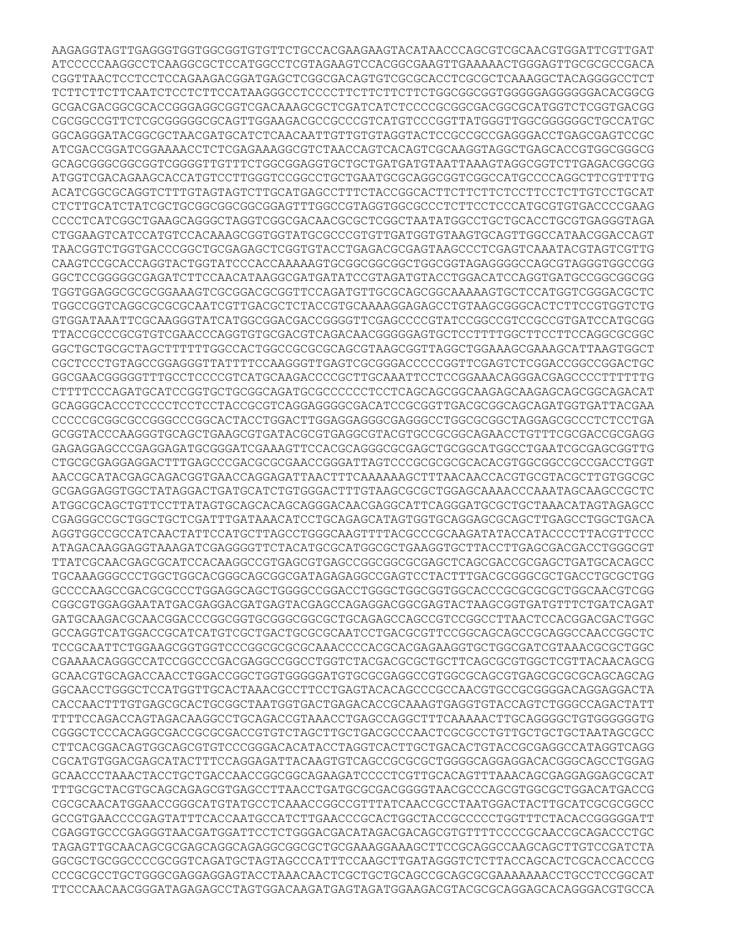AAGAGGTAGTTGAGGGTGGTGGCGGTGTGTTCTGCCACGAAGAAGTACATAACCCAGCGTCGCAACGTGGATTCGTTGAT ATCCCCCAAGGCCTCAAGGCGCTCCATGGCCTCGTAGAAGTCCACGGCGAAGTTGAAAAACTGGGAGTTGCGCGCCGACA CGGTTAACTCCTCCTCCAGAAGACGGATGAGCTCGGCGACAGTGTCGCGCACCTCGCGCTCAAAGGCTACAGGGGCCTCT TCTTCTTCTTCAATCTCCTCTTCCATAAGGGCCTCCCCTTCTTCTTCTTCTGGCGGCGGTGGGGGAGGGGGGACACGGCG GCGACGACGGCGCACCGGGAGGCGGTCGACAAAGCGCTCGATCATCTCCCCGCGGCGACGGCGCATGGTCTCGGTGACGG CGCGGCCGTTCTCGCGGGGGCGCAGTTGGAAGACGCCGCCCGTCATGTCCCGGTTATGGGTTGGCGGGGGGCTGCCATGC GGCAGGGATACGGCGCTAACGATGCATCTCAACAATTGTTGTGTAGGTACTCCGCCGCCGAGGGACCTGAGCGAGTCCGC ATCGACCGGATCGGAAAACCTCTCGAGAAAGGCGTCTAACCAGTCACAGTCGCAAGGTAGGCTGAGCACCGTGGCGGGCG GCAGCGGGCGGCGGTCGGGGTTGTTTCTGGCGGAGGTGCTGCTGATGATGTAATTAAAGTAGGCGGTCTTGAGACGGCGG ATGGTCGACAGAAGCACCATGTCCTTGGGTCCGGCCTGCTGAATGCGCAGGCGGTCGGCCATGCCCCAGGCTTCGTTTTG ACATCGGCGCAGGTCTTTGTAGTAGTCTTGCATGAGCCTTTCTACCGGCACTTCTTCTTCTCCTTCCTCTTGTCCTGCAT CTCTTGCATCTATCGCTGCGGCGGCGGCGGAGTTTGGCCGTAGGTGGCGCCCTCTTCCTCCCATGCGTGTGACCCCGAAG CCCCTCATCGGCTGAAGCAGGGCTAGGTCGGCGACAACGCGCTCGGCTAATATGGCCTGCTGCACCTGCGTGAGGGTAGA CTGGAAGTCATCCATGTCCACAAAGCGGTGGTATGCGCCCGTGTTGATGGTGTAAGTGCAGTTGGCCATAACGGACCAGT TAACGGTCTGGTGACCCGGCTGCGAGAGCTCGGTGTACCTGAGACGCGAGTAAGCCCTCGAGTCAAATACGTAGTCGTTG CAAGTCCGCACCAGGTACTGGTATCCCACCAAAAAGTGCGGCGGCGGCTGGCGGTAGAGGGGCCAGCGTAGGGTGGCCGG GGCTCCGGGGGCGAGATCTTCCAACATAAGGCGATGATATCCGTAGATGTACCTGGACATCCAGGTGATGCCGGCGGCGG TGGTGGAGGCGCGCGGAAAGTCGCGGACGCGGTTCCAGATGTTGCGCAGCGGCAAAAAGTGCTCCATGGTCGGGACGCTC TGGCCGGTCAGGCGCGCGCAATCGTTGACGCTCTACCGTGCAAAAGGAGAGCCTGTAAGCGGGCACTCTTCCGTGGTCTG GTGGATAAATTCGCAAGGGTATCATGGCGGACGACCGGGGTTCGAGCCCCGTATCCGGCCGTCCGCCGTGATCCATGCGG TTACCGCCCGCGTGTCGAACCCAGGTGTGCGACGTCAGACAACGGGGGAGTGCTCCTTTTGGCTTCCTTCCAGGCGCGGC GGCTGCTGCGCTAGCTTTTTTGGCCACTGGCCGCGCGCAGCGTAAGCGGTTAGGCTGGAAAGCGAAAGCATTAAGTGGCT CGCTCCCTGTAGCCGGAGGGTTATTTTCCAAGGGTTGAGTCGCGGGACCCCCGGTTCGAGTCTCGGACCGGCCGGACTGC GGCGAACGGGGGTTTGCCTCCCCGTCATGCAAGACCCCGCTTGCAAATTCCTCCGGAAACAGGGACGAGCCCCTTTTTTG CTTTTCCCAGATGCATCCGGTGCTGCGGCAGATGCGCCCCCCTCCTCAGCAGCGGCAAGAGCAAGAGCAGCGGCAGACAT GCAGGGCACCCTCCCCTCCTCCTACCGCGTCAGGAGGGGCGACATCCGCGGTTGACGCGGCAGCAGATGGTGATTACGAA CCCCCGCGGCGCCGGGCCCGGCACTACCTGGACTTGGAGGAGGGCGAGGGCCTGGCGCGGCTAGGAGCGCCCTCTCCTGA GCGGTACCCAAGGGTGCAGCTGAAGCGTGATACGCGTGAGGCGTACGTGCCGCGGCAGAACCTGTTTCGCGACCGCGAGG GAGAGGAGCCCGAGGAGATGCGGGATCGAAAGTTCCACGCAGGGCGCGAGCTGCGGCATGGCCTGAATCGCGAGCGGTTG CTGCGCGAGGAGGACTTTGAGCCCGACGCGCGAACCGGGATTAGTCCCGCGCGCGCACACGTGGCGGCCGCCGACCTGGT AACCGCATACGAGCAGACGGTGAACCAGGAGATTAACTTTCAAAAAAGCTTTAACAACCACGTGCGTACGCTTGTGGCGC GCGAGGAGGTGGCTATAGGACTGATGCATCTGTGGGACTTTGTAAGCGCGCTGGAGCAAAACCCAAATAGCAAGCCGCTC ATGGCGCAGCTGTTCCTTATAGTGCAGCACAGCAGGGACAACGAGGCATTCAGGGATGCGCTGCTAAACATAGTAGAGCC CGAGGGCCGCTGGCTGCTCGATTTGATAAACATCCTGCAGAGCATAGTGGTGCAGGAGCGCAGCTTGAGCCTGGCTGACA AGGTGGCCGCCATCAACTATTCCATGCTTAGCCTGGGCAAGTTTTACGCCCGCAAGATATACCATACCCCTTACGTTCCC ATAGACAAGGAGGTAAAGATCGAGGGGTTCTACATGCGCATGGCGCTGAAGGTGCTTACCTTGAGCGACGACCTGGGCGT TTATCGCAACGAGCGCATCCACAAGGCCGTGAGCGTGAGCCGGCGGCGCGAGCTCAGCGACCGCGAGCTGATGCACAGCC TGCAAAGGGCCCTGGCTGGCACGGGCAGCGGCGATAGAGAGGCCGAGTCCTACTTTGACGCGGGCGCTGACCTGCGCTGG GCCCCAAGCCGACGCGCCCTGGAGGCAGCTGGGGCCGGACCTGGGCTGGCGGTGGCACCCGCGCGCGCTGGCAACGTCGG CGGCGTGGAGGAATATGACGAGGACGATGAGTACGAGCCAGAGGACGGCGAGTACTAAGCGGTGATGTTTCTGATCAGAT GATGCAAGACGCAACGGACCCGGCGGTGCGGGCGGCGCTGCAGAGCCAGCCGTCCGGCCTTAACTCCACGGACGACTGGC GCCAGGTCATGGACCGCATCATGTCGCTGACTGCGCGCAATCCTGACGCGTTCCGGCAGCAGCCGCAGGCCAACCGGCTC TCCGCAATTCTGGAAGCGGTGGTCCCGGCGCGCGCAAACCCCACGCACGAGAAGGTGCTGGCGATCGTAAACGCGCTGGC CGAAAACAGGGCCATCCGGCCCGACGAGGCCGGCCTGGTCTACGACGCGCTGCTTCAGCGCGTGGCTCGTTACAACAGCG GCAACGTGCAGACCAACCTGGACCGGCTGGTGGGGGATGTGCGCGAGGCCGTGGCGCAGCGTGAGCGCGCGCAGCAGCAG GGCAACCTGGGCTCCATGGTTGCACTAAACGCCTTCCTGAGTACACAGCCCGCCAACGTGCCGCGGGGACAGGAGGACTA CACCAACTTTGTGAGCGCACTGCGGCTAATGGTGACTGAGACACCGCAAAGTGAGGTGTACCAGTCTGGGCCAGACTATT TTTTCCAGACCAGTAGACAAGGCCTGCAGACCGTAAACCTGAGCCAGGCTTTCAAAAACTTGCAGGGGCTGTGGGGGGTG CGGGCTCCCACAGGCGACCGCGCGACCGTGTCTAGCTTGCTGACGCCCAACTCGCGCCTGTTGCTGCTGATAGCGCC CTTCACGGACAGTGGCAGCGTGTCCCGGGACACATACCTAGGTCACTTGCTGACACTGTACCGCGAGGCCATAGGTCAGG CGCATGTGGACGAGCATACTTTCCAGGAGATTACAAGTGTCAGCCGCGCGCTGGGGCAGGAGGACACGGGCAGCCTGGAG GCAACCCTAAACTACCTGCTGACCAACCGGCGGCAGAAGATCCCCTCGTTGCACAGTTTAAACAGCGAGGAGGAGCGCAT TTTGCGCTACGTGCAGCAGAGCGTGAGCCTTAACCTGATGCGCGACGGGGTAACGCCCAGCGTGGCGCTGGACATGACCG CGCGCAACATGGAACCGGGCATGTATGCCTCAAACCGGCCGTTTATCAACCGCCTAATGGACTACTTGCATCGCGCGGCC GCCGTGAACCCCGAGTATTTCACCAATGCCATCTTGAACCCGCACTGGCTACCGCCCCCTGGTTTCTACACCGGGGGATT CGAGGTGCCCGAGGGTAACGATGGATTCCTCTGGGACGACATAGACGACAGCGTGTTTTCCCCGCAACCGCAGACCCTGC TAGAGTTGCAACAGCGCGAGCAGGCAGAGGCGGCGCTGCGAAAGGAAAGCTTCCGCAGGCCAAGCAGCTTGTCCGATCTA GGCGCTGCGGCCCCGCGGTCAGATGCTAGTAGCCCATTTCCAAGCTTGATAGGGTCTCTTACCAGCACTCGCACCACCCG CCCGCGCCTGCTGGGCGAGGAGGAGTACCTAAACAACTCGCTGCTGCAGCCGCAGCGCGAAAAAAACCTGCCTCCGGCAT TTCCCAACAACGGGATAGAGAGCCTAGTGGACAAGATGAGTAGATGGAAGACGTACGCGCAGGAGCACAGGGACGTGCCA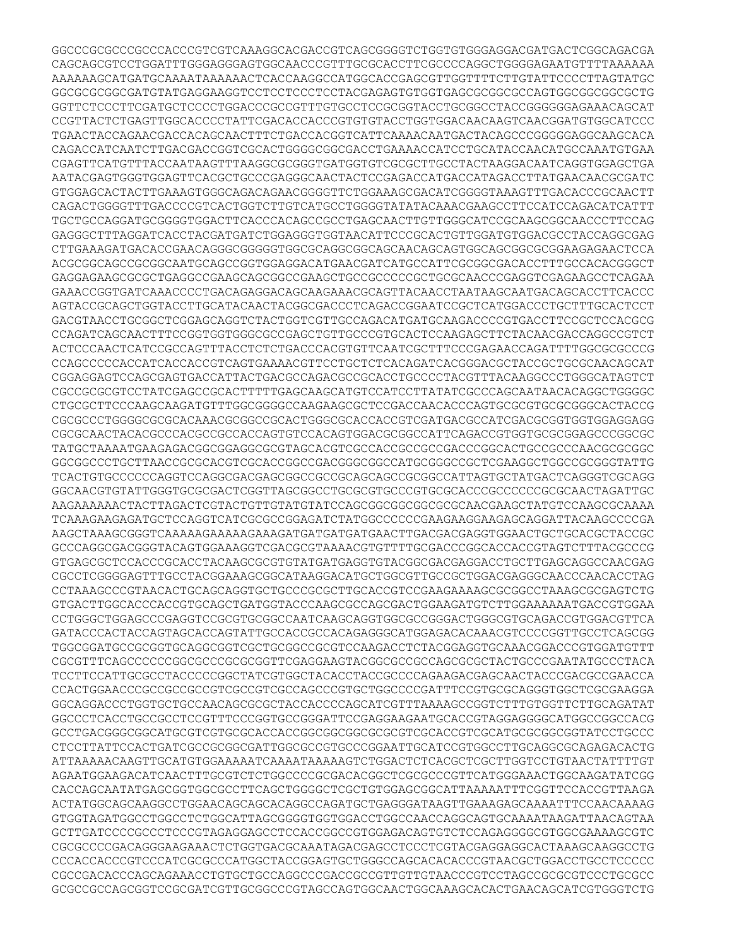GGCCCGCGCCCGCCCACCCGTCGTCAAAGGCACGACCGTCAGCGGGGTCTGGTGTGGGAGGACGATGACTCGGCAGACGA CAGCAGCGTCCTGGATTTGGGAGGGAGTGGCAACCCGTTTGCGCACCTTCGCCCCAGGCTGGGGAGAATGTTTTAAAAAA AAAAAAGCATGATGCAAAATAAAAAACTCACCAAGGCCATGGCACCGAGCGTTGGTTTTCTTGTATTCCCCTTAGTATGC GGCGCGCGGCGATGTATGAGGAAGGTCCTCCTCCCTCCTACGAGAGTGTGGTGAGCGCGGCGCCAGTGGCGGCGGCGCTG GGTTCTCCCTTCGATGCTCCCCTGGACCCGCCGTTTGTGCCTCCGCGGTACCTGCGGCCTACCGGGGGGAGAAACAGCAT CCGTTACTCTGAGTTGGCACCCCTATTCGACACCACCCGTGTGTACCTGGTGGACAACAAGTCAACGGATGTGGCATCCC TGAACTACCAGAACGACCACAGCAACTTTCTGACCACGGTCATTCAAAACAATGACTACAGCCCGGGGGAGGCAAGCACA CAGACCATCAATCTTGACGACCGGTCGCACTGGGGCGGCGACCTGAAAACCATCCTGCATACCAACATGCCAAATGTGAA CGAGTTCATGTTTACCAATAAGTTTAAGGCGCGGGTGATGGTGTCGCGCTTGCCTACTAAGGACAATCAGGTGGAGCTGA AATACGAGTGGGTGGAGTTCACGCTGCCCGAGGGCAACTACTCCGAGACCATGACCATAGACCTTATGAACAACGCGATC GTGGAGCACTACTTGAAAGTGGGCAGACAGAACGGGGTTCTGGAAAGCGACATCGGGGTAAAGTTTGACACCCGCAACTT CAGACTGGGGTTTGACCCCGTCACTGGTCTTGTCATGCCTGGGGTATATACAAACGAAGCCTTCCATCCAGACATCATTT TGCTGCCAGGATGCGGGGTGGACTTCACCCACAGCCGCCTGAGCAACTTGTTGGGCATCCGCAAGCGGCAACCCTTCCAG GAGGGCTTTAGGATCACCTACGATGATCTGGAGGGTGGTAACATTCCCGCACTGTTGGATGTGGACGCCTACCAGGCGAG CTTGAAAGATGACACCGAACAGGGCGGGGGTGGCGCAGGCGGCAGCAACAGCAGTGGCAGCGGCGCGGAAGAGAACTCCA ACGCGGCAGCCGCGGCAATGCAGCCGGTGGAGGACATGAACGATCATGCCATTCGCGGCGACACCTTTGCCACACGGGCT GAGGAGAAGCGCGCTGAGGCCGAAGCAGCGGCCGAAGCTGCCGCCCCCGCTGCGCAACCCGAGGTCGAGAAGCCTCAGAA GAAACCGGTGATCAAACCCCTGACAGAGGACAGCAAGAAACGCAGTTACAACCTAATAAGCAATGACAGCACCTTCACCC AGTACCGCAGCTGGTACCTTGCATACAACTACGGCGACCCTCAGACCGGAATCCGCTCATGGACCCTGCTTTGCACTCCT GACGTAACCTGCGGCTCGGAGCAGGTCTACTGGTCGTTGCCAGACATGATGCAAGACCCCGTGACCTTCCGCTCCACGCG CCAGATCAGCAACTTTCCGGTGGTGGGCGCCGAGCTGTTGCCCGTGCACTCCAAGAGCTTCTACAACGACCAGGCCGTCT ACTCCCAACTCATCCGCCAGTTTACCTCTCTGACCCACGTGTTCAATCGCTTTCCCGAGAACCAGATTTTGGCGCGCCCG CCAGCCCCCACCATCACCACCGTCAGTGAAAACGTTCCTGCTCTCACAGATCACGGGACGCTACCGCTGCGCAACAGCAT CGGAGGAGTCCAGCGAGTGACCATTACTGACGCCAGACGCCGCACCTGCCCCTACGTTTACAAGGCCCTGGGCATAGTCT CGCCGCGCGTCCTATCGAGCCGCACTTTTTGAGCAAGCATGTCCATCCTTATATCGCCCAGCAATAACACAGGCTGGGGC CTGCGCTTCCCAAGCAAGATGTTTGGCGGGGCCAAGAAGCGCTCCGACCAACACCCAGTGCGCGTGCGCGGGCACTACCG CGCGCCCTGGGGCGCGCACAAACGCGGCCGCACTGGGCGCACCACCGTCGATGACGCCATCGACGCGGTGGTGGAGGAGG CGCGCAACTACACGCCCACGCCGCCACCAGTGTCCACAGTGGACGCGGCCATTCAGACCGTGGTGCGCGGAGCCCGGCGC TATGCTAAAATGAAGAGACGGCGGAGGCGCGTAGCACGTCGCCACCGCCGCCGACCCGGCACTGCCGCCCAACGCGCGGC GGCGGCCCTGCTTAACCGCGCACGTCGCACCGGCCGACGGGCGGCCATGCGGGCCGCTCGAAGGCTGGCCGCGGGTATTG TCACTGTGCCCCCCAGGTCCAGGCGACGAGCGGCCGCCGCAGCAGCCGCGGCCATTAGTGCTATGACTCAGGGTCGCAGG GGCAACGTGTATTGGGTGCGCGACTCGGTTAGCGGCCTGCGCGTGCCCGTGCGCACCCGCCCCCCGCGCAACTAGATTGC AAGAAAAAACTACTTAGACTCGTACTGTTGTATGTATCCAGCGGCGGCGGCGCGCAACGAAGCTATGTCCAAGCGCAAAA TCAAAGAAGAGATGCTCCAGGTCATCGCGCCGGAGATCTATGGCCCCCCGAAGAAGGAAGAGCAGGATTACAAGCCCCGA AAGCTAAAGCGGGTCAAAAAGAAAAAGAAAGATGATGATGATGAACTTGACGACGAGGTGGAACTGCTGCACGCTACCGC GCCCAGGCGACGGGTACAGTGGAAAGGTCGACGCGTAAAACGTGTTTTGCGACCCGGCACCACCGTAGTCTTTACGCCCG GTGAGCGCTCCACCCGCACCTACAAGCGCGTGTATGATGAGGTGTACGGCGACGAGGACCTGCTTGAGCAGGCCAACGAG CGCCTCGGGGAGTTTGCCTACGGAAAGCGGCATAAGGACATGCTGGCGTTGCCGCTGGACGAGGGCAACCCAACACCTAG CCTAAAGCCCGTAACACTGCAGCAGGTGCTGCCCGCGCTTGCACCGTCCGAAGAAAAGCGCGGCCTAAAGCGCGAGTCTG GTGACTTGGCACCCACCGTGCAGCTGATGGTACCCAAGCGCCAGCGACTGGAAGATGTCTTGGAAAAAATGACCGTGGAA CCTGGGCTGGAGCCCGAGGTCCGCGTGCGGCCAATCAAGCAGGTGGCGCCGGGACTGGGCGTGCAGACCGTGGACGTTCA GATACCCACTACCAGTAGCACCAGTATTGCCACCGCCACAGAGGGCATGGAGACACAAACGTCCCCGGTTGCCTCAGCGG TGGCGGATGCCGCGGTGCAGGCGGTCGCTGCGGCCGCGTCCAAGACCTCTACGGAGGTGCAAACGGACCCGTGGATGTTT CGCGTTTCAGCCCCCCGGCGCCCGCGCGGTTCGAGGAAGTACGGCGCCGCCAGCGCGCTACTGCCCGAATATGCCCTACA TCCTTCCATTGCGCCTACCCCCGGCTATCGTGGCTACACCTACCGCCCCAGAAGACGAGCAACTACCCGACGCCGAACCA CCACTGGAACCCGCCGCCGCCGTCGCCGTCGCCAGCCCGTGCTGGCCCCGATTTCCGTGCGCAGGGTGGCTCGCGAAGGA GGCAGGACCCTGGTGCTGCCAACAGCGCGCTACCACCCCAGCATCGTTTAAAAGCCGGTCTTTGTGGTTCTTGCAGATAT GGCCCTCACCTGCCGCCTCCGTTTCCCGGTGCCGGGATTCCGAGGAAGAATGCACCGTAGGAGGGGCATGGCCGGCCACG GCCTGACGGGCGGCATGCGTCGTGCGCACCACCGGCGGCGGCGCGCGTCGCACCGTCGCATGCGCGGCGGTATCCTGCCC CTCCTTATTCCACTGATCGCCGCGGCGATTGGCGCCGTGCCCGGAATTGCATCCGTGGCCTTGCAGGCGCAGAGACACTG ATTAAAAACAAGTTGCATGTGGAAAAATCAAAATAAAAAGTCTGGACTCTCACGCTCGCTTGGTCCTGTAACTATTTTGT AGAATGGAAGACATCAACTTTGCGTCTCTGGCCCCGCGACACGGCTCGCGCCCGTTCATGGGAAACTGGCAAGATATCGG CACCAGCAATATGAGCGGTGGCGCCTTCAGCTGGGGCTCGCTGTGGAGCGGCATTAAAAATTTCGGTTCCACCGTTAAGA ACTATGGCAGCAAGGCCTGGAACAGCAGCACAGGCCAGATGCTGAGGGATAAGTTGAAAGAGCAAAATTTCCAACAAAAG GTGGTAGATGGCCTGGCCTCTGGCATTAGCGGGGTGGTGGACCTGGCCAACCAGGCAGTGCAAAATAAGATTAACAGTAA GCTTGATCCCCGCCCTCCCGTAGAGGAGCCTCCACCGGCCGTGGAGACAGTGTCTCCAGAGGGGCGTGGCGAAAAGCGTC CGCGCCCCGACAGGGAAGAAACTCTGGTGACGCAAATAGACGAGCCTCCCTCGTACGAGGAGGCACTAAAGCAAGGCCTG CCCACCACCCGTCCCATCGCGCCCATGGCTACCGGAGTGCTGGGCCAGCACACACCCGTAACGCTGGACCTGCCTCCCCC CGCCGACACCCAGCAGAAACCTGTGCTGCCAGGCCCGACCGCCGTTGTTGTAACCCGTCCTAGCCGCGCGTCCCTGCGCC GCGCCGCCAGCGGTCCGCGATCGTTGCGGCCCGTAGCCAGTGGCAACTGGCAAAGCACACTGAACAGCATCGTGGGTCTG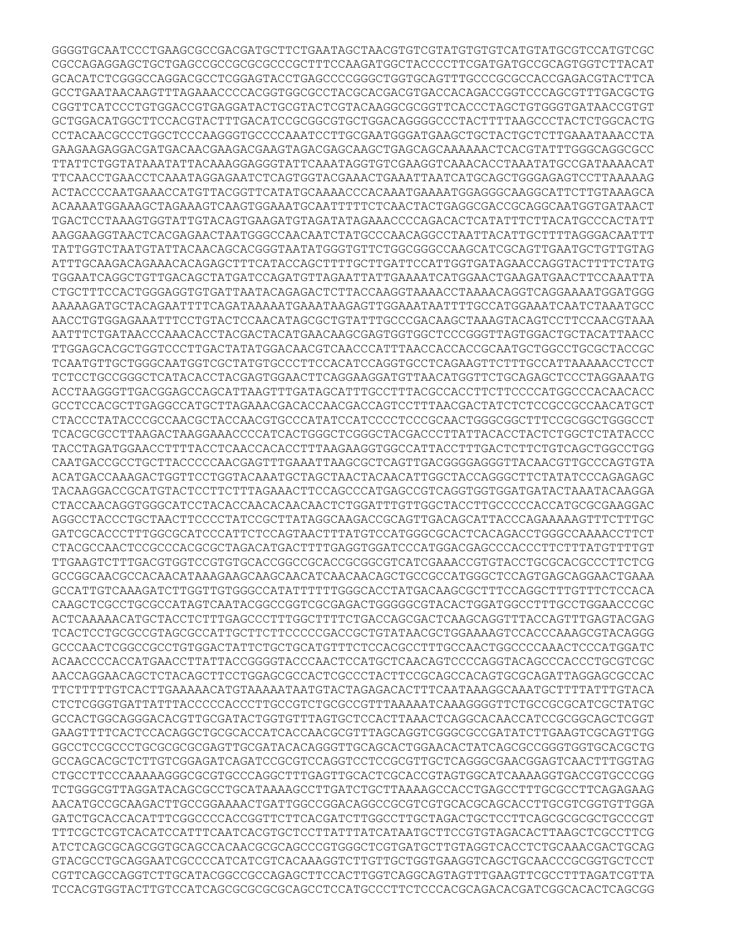GGGGTGCAATCCCTGAAGCGCCGACGATGCTTCTGAATAGCTAACGTGTCGTATGTGTGTCATGTATGCGTCCATGTCGC CGCCAGAGGAGCTGCTGAGCCGCCGCGCGCCCGCTTTCCAAGATGGCTACCCCTTCGATGATGCCGCAGTGGTCTTACAT GCACATCTCGGGCCAGGACGCCTCGGAGTACCTGAGCCCCGGGCTGGTGCAGTTTGCCCGCGCCACCGAGACGTACTTCA GCCTGAATAACAAGTTTAGAAACCCCACGGTGGCGCCTACGCACGACGTGACCACAGACCGGTCCCAGCGTTTGACGCTG CGGTTCATCCCTGTGGACCGTGAGGATACTGCGTACTCGTACAAGGCGCGGTTCACCCTAGCTGTGGGTGATAACCGTGT GCTGGACATGGCTTCCACGTACTTTGACATCCGCGGCGTGCTGGACAGGGGCCCTACTTTTAAGCCCTACTCTGGCACTG CCTACAACGCCCTGGCTCCCAAGGGTGCCCCAAATCCTTGCGAATGGGATGAAGCTGCTACTGCTCTTGAAATAAACCTA GAAGAAGAGGACGATGACAACGAAGACGAAGTAGACGAGCAAGCTGAGCAGCAAAAAACTCACGTATTTGGGCAGGCGCC TTATTCTGGTATAAATATTACAAAGGAGGGTATTCAAATAGGTGTCGAAGGTCAAACACCTAAATATGCCGATAAAACAT TTCAACCTGAACCTCAAATAGGAGAATCTCAGTGGTACGAAACTGAAATTAATCATGCAGCTGGGAGAGTCCTTAAAAAG ACTACCCCAATGAAACCATGTTACGGTTCATATGCAAAACCCACAAATGAAAATGGAGGGCAAGGCATTCTTGTAAAGCA ACAAAATGGAAAGCTAGAAAGTCAAGTGGAAATGCAATTTTTCTCAACTACTGAGGCGACCGCAGGCAATGGTGATAACT TGACTCCTAAAGTGGTATTGTACAGTGAAGATGTAGATATAGAAACCCCAGACACTCATATTTCTTACATGCCCACTATT AAGGAAGGTAACTCACGAGAACTAATGGGCCAACAATCTATGCCCAACAGGCCTAATTACATTGCTTTTAGGGACAATTT TATTGGTCTAATGTATTACAACAGCACGGGTAATATGGGTGTTCTGGCGGGCCAAGCATCGCAGTTGAATGCTGTTGTAG ATTTGCAAGACAGAAACACAGAGCTTTCATACCAGCTTTTGCTTGATTCCATTGGTGATAGAACCAGGTACTTTTCTATG TGGAATCAGGCTGTTGACAGCTATGATCCAGATGTTAGAATTATTGAAAATCATGGAACTGAAGATGAACTTCCAAATTA CTGCTTTCCACTGGGAGGTGTGATTAATACAGAGACTCTTACCAAGGTAAAACCTAAAACAGGTCAGGAAAATGGATGGG AAAAAGATGCTACAGAATTTTCAGATAAAAATGAAATAAGAGTTGGAAATAATTTTGCCATGGAAATCAATCTAAATGCC AACCTGTGGAGAAATTTCCTGTACTCCAACATAGCGCTGTATTTGCCCGACAAGCTAAAGTACAGTCCTTCCAACGTAAA AATTTCTGATAACCCAAACACCTACGACTACATGAACAAGCGAGTGGTGGCTCCCGGGTTAGTGGACTGCTACATTAACC TTGGAGCACGCTGGTCCCTTGACTATATGGACAACGTCAACCCATTTAACCACCACCGCAATGCTGGCCTGCGCTACCGC TCAATGTTGCTGGGCAATGGTCGCTATGTGCCCTTCCACATCCAGGTGCCTCAGAAGTTCTTTGCCATTAAAAACCTCCT TCTCCTGCCGGGCTCATACACCTACGAGTGGAACTTCAGGAAGGATGTTAACATGGTTCTGCAGAGCTCCCTAGGAAATG ACCTAAGGGTTGACGGAGCCAGCATTAAGTTTGATAGCATTTGCCTTTACGCCACCTTCTTCCCCATGGCCCACAACACC GCCTCCACGCTTGAGGCCATGCTTAGAAACGACACCAACGACCAGTCCTTTAACGACTATCTCTCCGCCGCCAACATGCT CTACCCTATACCCGCCAACGCTACCAACGTGCCCATATCCATCCCCTCCCGCAACTGGGCGGCTTTCCGCGGCTGGGCCT TCACGCGCCTTAAGACTAAGGAAACCCCATCACTGGGCTCGGGCTACGACCCTTATTACACCTACTCTGGCTCTATACCC TACCTAGATGGAACCTTTTACCTCAACCACACCTTTAAGAAGGTGGCCATTACCTTTGACTCTTCTGTCAGCTGGCCTGG CAATGACCGCCTGCTTACCCCCAACGAGTTTGAAATTAAGCGCTCAGTTGACGGGGAGGGTTACAACGTTGCCCAGTGTA ACATGACCAAAGACTGGTTCCTGGTACAAATGCTAGCTAACTACAACATTGGCTACCAGGGCTTCTATATCCCAGAGAGC TACAAGGACCGCATGTACTCCTTCTTTAGAAACTTCCAGCCCATGAGCCGTCAGGTGGTGGATGATACTAAATACAAGGA CTACCAACAGGTGGGCATCCTACACCAACACAACAACTCTGGATTTGTTGGCTACCTTGCCCCCACCATGCGCGAAGGAC AGGCCTACCCTGCTAACTTCCCCTATCCGCTTATAGGCAAGACCGCAGTTGACAGCATTACCCAGAAAAAGTTTCTTTGC GATCGCACCCTTTGGCGCATCCCATTCTCCAGTAACTTTATGTCCATGGGCGCACTCACAGACCTGGGCCAAAACCTTCT CTACGCCAACTCCGCCCACGCGCTAGACATGACTTTTGAGGTGGATCCCATGGACGAGCCCACCCTTCTTTATGTTTTGT TTGAAGTCTTTGACGTGGTCCGTGTGCACCGGCCGCACCGCGGCGTCATCGAAACCGTGTACCTGCGCACGCCCTTCTCG GCCGGCAACGCCACAACATAAAGAAGCAAGCAACATCAACAACAGCTGCCGCCATGGGCTCCAGTGAGCAGGAACTGAAA GCCATTGTCAAAGATCTTGGTTGTGGGCCATATTTTTTGGGCACCTATGACAAGCGCTTTCCAGGCTTTGTTTCTCCACA CAAGCTCGCCTGCGCCATAGTCAATACGGCCGGTCGCGAGACTGGGGGCGTACACTGGATGGCCTTTGCCTGGAACCCGC ACTCAAAAACATGCTACCTCTTTGAGCCCTTTGGCTTTTCTGACCAGCGACTCAAGCAGGTTTACCAGTTTGAGTACGAG TCACTCCTGCGCCGTAGCGCCATTGCTTCTTCCCCCGACCGCTGTATAACGCTGGAAAAGTCCACCCAAAGCGTACAGGG GCCCAACTCGGCCGCCTGTGGACTATTCTGCTGCATGTTTCTCCACGCCTTTGCCAACTGGCCCCAAACTCCCATGGATC ACAACCCCACCATGAACCTTATTACCGGGGTACCCAACTCCATGCTCAACAGTCCCCAGGTACAGCCCACCCTGCGTCGC AACCAGGAACAGCTCTACAGCTTCCTGGAGCGCCACTCGCCCTACTTCCGCAGCCACAGTGCGCAGATTAGGAGCGCCAC TTCTTTTTGTCACTTGAAAAACATGTAAAAATAATGTACTAGAGACACTTTCAATAAAGGCAAATGCTTTTATTTGTACA CTCTCGGGTGATTATTTACCCCCACCCTTGCCGTCTGCGCCGTTTAAAAATCAAAGGGGTTCTGCCGCGCATCGCTATGC GCCACTGGCAGGGACACGTTGCGATACTGGTGTTTAGTGCTCCACTTAAACTCAGGCACAACCATCCGCGGCAGCTCGGT GAAGTTTTCACTCCACAGGCTGCGCACCATCACCAACGCGTTTAGCAGGTCGGGCGCCGATATCTTGAAGTCGCAGTTGG GGCCTCCGCCCTGCGCGCGCGAGTTGCGATACACAGGGTTGCAGCACTGGAACACTATCAGCGCCGGGTGGTGCACGCTG GCCAGCACGCTCTTGTCGGAGATCAGATCCGCGTCCAGGTCCTCCGCGTTGCTCAGGGCGAACGGAGTCAACTTTGGTAG CTGCCTTCCCAAAAAGGGCGCGTGCCCAGGCTTTGAGTTGCACTCGCACCGTAGTGGCATCAAAAGGTGACCGTGCCCGG TCTGGGCGTTAGGATACAGCGCCTGCATAAAAGCCTTGATCTGCTTAAAAGCCACCTGAGCCTTTGCGCCTTCAGAGAAG AACATGCCGCAAGACTTGCCGGAAAACTGATTGGCCGGACAGGCCGCGTCGTGCACGCAGCACCTTGCGTCGGTGTTGGA GATCTGCACCACATTTCGGCCCCACCGGTTCTTCACGATCTTGGCCTTGCTAGACTGCTCCTTCAGCGCGCGCTGCCCGT TTTCGCTCGTCACATCCATTTCAATCACGTGCTCCTTATTTATCATAATGCTTCCGTGTAGACACTTAAGCTCGCCTTCG ATCTCAGCGCAGCGGTGCAGCCACAACGCGCAGCCCGTGGGCTCGTGATGCTTGTAGGTCACCTCTGCAAACGACTGCAG GTACGCCTGCAGGAATCGCCCCATCATCGTCACAAAGGTCTTGTTGCTGGTGAAGGTCAGCTGCAACCCGCGGTGCTCCT CGTTCAGCCAGGTCTTGCATACGGCCGCCAGAGCTTCCACTTGGTCAGGCAGTAGTTTGAAGTTCGCCTTTAGATCGTTA TCCACGTGGTACTTGTCCATCAGCGCGCGCGCAGCCTCCATGCCCTTCTCCCACGCAGACACGATCGGCACACTCAGCGG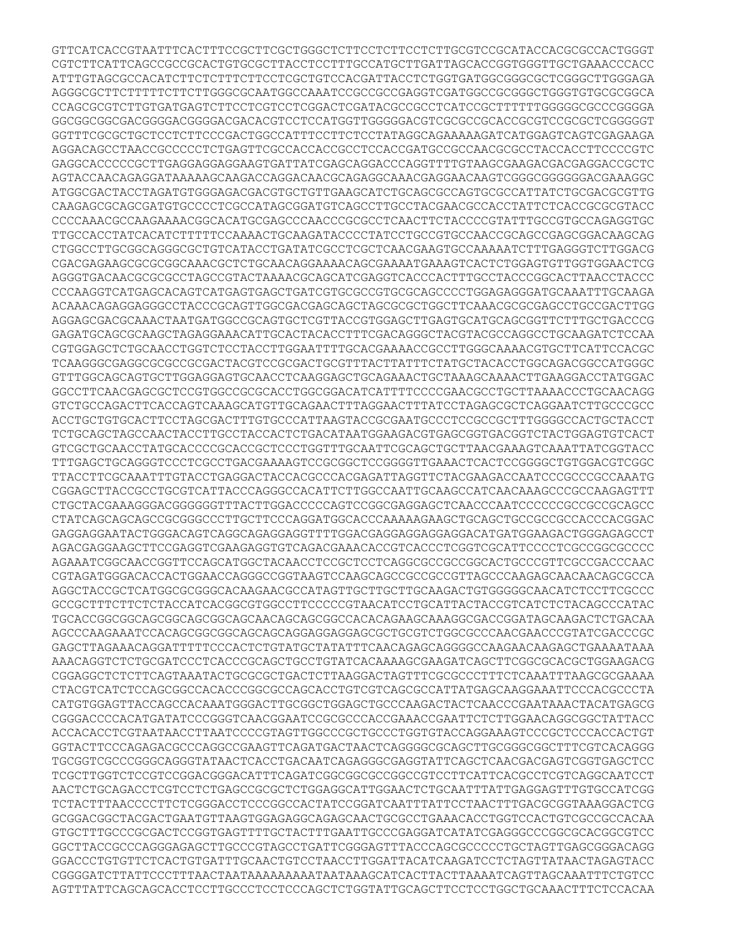GTTCATCACCGTAATTTCACTTTCCGCTTCGCTGGGCTCTTCCTCTTCCTCTTGCGTCCGCATACCACGCGCCACTGGGT CGTCTTCATTCAGCCGCCGCACTGTGCGCTTACCTCCTTTGCCATGCTTGATTAGCACCGGTGGGTTGCTGAAACCCACC ATTTGTAGCGCCACATCTTCTCTTTCTTCCTCGCTGTCCACGATTACCTCTGGTGATGGCGGGCGCTCGGGCTTGGGAGA AGGGCGCTTCTTTTTCTTCTTGGGCGCAATGGCCAAATCCGCCGCCGAGGTCGATGGCCGCGGGCTGGGTGTGCGCGGCA CCAGCGCGTCTTGTGATGAGTCTTCCTCGTCCTCGGACTCGATACGCCGCCTCATCCGCTTTTTTGGGGGCGCCCGGGGA GGCGGCGGCGACGGGGACGGGGACGACACGTCCTCCATGGTTGGGGGACGTCGCGCCGCACCGCGTCCGCGCTCGGGGGT GGTTTCGCGCTGCTCCTCTTCCCGACTGGCCATTTCCTTCTCCTATAGGCAGAAAAAGATCATGGAGTCAGTCGAGAAGA AGGACAGCCTAACCGCCCCCTCTGAGTTCGCCACCACCGCCTCCACCGATGCCGCCAACGCGCCTACCACCTTCCCCGTC GAGGCACCCCCGCTTGAGGAGGAGGAAGTGATTATCGAGCAGGACCCAGGTTTTGTAAGCGAAGACGACGAGGACCGCTC AGTACCAACAGAGGATAAAAAGCAAGACCAGGACAACGCAGAGGCAAACGAGGAACAAGTCGGGCGGGGGGACGAAAGGC ATGGCGACTACCTAGATGTGGGAGACGACGTGCTGTTGAAGCATCTGCAGCGCCAGTGCGCCATTATCTGCGACGCGTTG CAAGAGCGCAGCGATGTGCCCCTCGCCATAGCGGATGTCAGCCTTGCCTACGAACGCCACCTATTCTCACCGCGCGTACC CCCCAAACGCCAAGAAAACGGCACATGCGAGCCCAACCCGCGCCTCAACTTCTACCCCGTATTTGCCGTGCCAGAGGTGC TTGCCACCTATCACATCTTTTTCCAAAACTGCAAGATACCCCTATCCTGCCGTGCCAACCGCAGCCGAGCGGACAAGCAG CTGGCCTTGCGGCAGGGCGCTGTCATACCTGATATCGCCTCGCTCAACGAAGTGCCAAAAATCTTTGAGGGTCTTGGACG CGACGAGAAGCGCGCGGCAAACGCTCTGCAACAGGAAAACAGCGAAAATGAAAGTCACTCTGGAGTGTTGGTGGAACTCG AGGGTGACAACGCGCGCCTAGCCGTACTAAAACGCAGCATCGAGGTCACCCACTTTGCCTACCCGGCACTTAACCTACCC CCCAAGGTCATGAGCACAGTCATGAGTGAGCTGATCGTGCGCCGTGCGCAGCCCCTGGAGAGGGATGCAAATTTGCAAGA ACAAACAGAGGAGGGCCTACCCGCAGTTGGCGACGAGCAGCTAGCGCGCTGGCTTCAAACGCGCGAGCCTGCCGACTTGG AGGAGCGACGCAAACTAATGATGGCCGCAGTGCTCGTTACCGTGGAGCTTGAGTGCATGCAGCGGTTCTTTGCTGACCCG GAGATGCAGCGCAAGCTAGAGGAAACATTGCACTACACCTTTCGACAGGGCTACGTACGCCAGGCCTGCAAGATCTCCAA CGTGGAGCTCTGCAACCTGGTCTCCTACCTTGGAATTTTGCACGAAAACCGCCTTGGGCAAAACGTGCTTCATTCCACGC TCAAGGGCGAGGCGCGCCGCGACTACGTCCGCGACTGCGTTTACTTATTTCTATGCTACACCTGGCAGACGGCCATGGGC GTTTGGCAGCAGTGCTTGGAGGAGTGCAACCTCAAGGAGCTGCAGAAACTGCTAAAGCAAAACTTGAAGGACCTATGGAC GGCCTTCAACGAGCGCTCCGTGGCCGCGCACCTGGCGGACATCATTTTCCCCGAACGCCTGCTTAAAACCCTGCAACAGG GTCTGCCAGACTTCACCAGTCAAAGCATGTTGCAGAACTTTAGGAACTTTATCCTAGAGCGCTCAGGAATCTTGCCCGCC ACCTGCTGTGCACTTCCTAGCGACTTTGTGCCCATTAAGTACCGCGAATGCCCTCCGCCGCTTTGGGGCCACTGCTACCT TCTGCAGCTAGCCAACTACCTTGCCTACCACTCTGACATAATGGAAGACGTGAGCGGTGACGGTCTACTGGAGTGTCACT GTCGCTGCAACCTATGCACCCCGCACCGCTCCCTGGTTTGCAATTCGCAGCTGCTTAACGAAAGTCAAATTATCGGTACC TTTGAGCTGCAGGGTCCCTCGCCTGACGAAAAGTCCGCGGCTCCGGGGTTGAAACTCACTCCGGGGCTGTGGACGTCGGC TTACCTTCGCAAATTTGTACCTGAGGACTACCACGCCCACGAGATTAGGTTCTACGAAGACCAATCCCGCCCGCCAAATG CGGAGCTTACCGCCTGCGTCATTACCCAGGGCCACATTCTTGGCCAATTGCAAGCCATCAACAAAGCCCGCCAAGAGTTT CTGCTACGAAAGGGACGGGGGGTTTACTTGGACCCCCAGTCCGGCGAGGAGCTCAACCCAATCCCCCCGCCGCCGCAGCC CTATCAGCAGCAGCCGCGGGCCCTTGCTTCCCAGGATGGCACCCAAAAAGAAGCTGCAGCTGCCGCCGCCACCCACGGAC GAGGAGGAATACTGGGACAGTCAGGCAGAGGAGGTTTTGGACGAGGAGGAGGAGGACATGATGGAAGACTGGGAGAGCCT AGACGAGGAAGCTTCCGAGGTCGAAGAGGTGTCAGACGAAACACCGTCACCCTCGGTCGCATTCCCCTCGCCGGCGCCCC AGAAATCGGCAACCGGTTCCAGCATGGCTACAACCTCCGCTCCTCAGGCGCCGCCGGCACTGCCCGTTCGCCGACCCAAC CGTAGATGGGACACCACTGGAACCAGGGCCGGTAAGTCCAAGCAGCCGCCGCCGTTAGCCCAAGAGCAACAACAGCGCCA AGGCTACCGCTCATGGCGCGGGCACAAGAACGCCATAGTTGCTTGCTTGCAAGACTGTGGGGGCAACATCTCCTTCGCCC GCCGCTTTCTTCTCTACCATCACGGCGTGGCCTTCCCCCGTAACATCCTGCATTACTACCGTCATCTCTACAGCCCATAC TGCACCGGCGGCAGCGGCAGCGGCAGCAACAGCAGCGGCCACACAGAAGCAAAGGCGACCGGATAGCAAGACTCTGACAA AGCCCAAGAAATCCACAGCGGCGGCAGCAGCAGGAGGAGGAGCGCTGCGTCTGGCGCCCAACGAACCCGTATCGACCCGC GAGCTTAGAAACAGGATTTTTCCCACTCTGTATGCTATATTTCAACAGAGCAGGGGCCAAGAACAAGAGCTGAAAATAAA AAACAGGTCTCTGCGATCCCTCACCCGCAGCTGCCTGTATCACAAAAGCGAAGATCAGCTTCGGCGCACGCTGGAAGACG CGGAGGCTCTCTTCAGTAAATACTGCGCGCTGACTCTTAAGGACTAGTTTCGCGCCCTTTCTCAAATTTAAGCGCGAAAA CTACGTCATCTCCAGCGGCCACACCCGGCGCCAGCACCTGTCGTCAGCGCCATTATGAGCAAGGAAATTCCCACGCCCTA CATGTGGAGTTACCAGCCACAAATGGGACTTGCGGCTGGAGCTGCCCAAGACTACTCAACCCGAATAAACTACATGAGCG CGGGACCCCACATGATATCCCGGGTCAACGGAATCCGCGCCCACCGAAACCGAATTCTCTTGGAACAGGCGGCTATTACC ACCACACCTCGTAATAACCTTAATCCCCGTAGTTGGCCCGCTGCCCTGGTGTACCAGGAAAGTCCCGCTCCCACCACTGT GGTACTTCCCAGAGACGCCCAGGCCGAAGTTCAGATGACTAACTCAGGGGCGCAGCTTGCGGGCGGCTTTCGTCACAGGG TGCGGTCGCCCGGGCAGGGTATAACTCACCTGACAATCAGAGGGCGAGGTATTCAGCTCAACGACGAGTCGGTGAGCTCC TCGCTTGGTCTCCGTCCGGACGGGACATTTCAGATCGGCGGCGCCGGCCGTCCTTCATTCACGCCTCGTCAGGCAATCCT AACTCTGCAGACCTCGTCCTCTGAGCCGCGCTCTGGAGGCATTGGAACTCTGCAATTTATTGAGGAGTTTGTGCCATCGG TCTACTTTAACCCCTTCTCGGGACCTCCCGGCCACTATCCGGATCAATTTATTCCTAACTTTGACGCGGTAAAGGACTCG GCGGACGGCTACGACTGAATGTTAAGTGGAGAGGCAGAGCAACTGCGCCTGAAACACCTGGTCCACTGTCGCCGCCACAA GTGCTTTGCCCGCGACTCCGGTGAGTTTTGCTACTTTGAATTGCCCGAGGATCATATCGAGGGCCCGGCGCACGGCGTCC GGCTTACCGCCCAGGGAGAGCTTGCCCGTAGCCTGATTCGGGAGTTTACCCAGCGCCCCCTGCTAGTTGAGCGGGACAGG GGACCCTGTGTTCTCACTGTGATTTGCAACTGTCCTAACCTTGGATTACATCAAGATCCTCTAGTTATAACTAGAGTACC CGGGGATCTTATTCCCTTTAACTAATAAAAAAAAATAATAAAGCATCACTTACTTAAAATCAGTTAGCAAATTTCTGTCC AGTTTATTCAGCAGCACCTCCTTGCCCTCCTCCCAGCTCTGGTATTGCAGCTTCCTCCTGGCTGCAAACTTTCTCCACAA